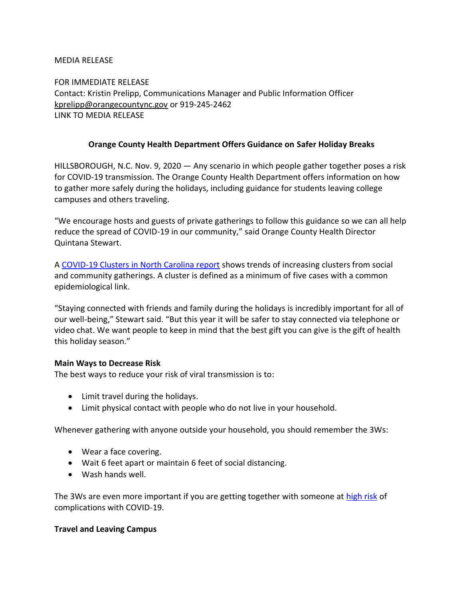MEDIA RELEASE

FOR IMMEDIATE RELEASE Contact: Kristin Prelipp, Communications Manager and Public Information Officer [kprelipp@orangecountync.gov](mailto:kprelipp@orangecountync.gov) or 919-245-2462 LINK TO MEDIA RELEASE

### **Orange County Health Department Offers Guidance on Safer Holiday Breaks**

HILLSBOROUGH, N.C. Nov. 9, 2020 ― Any scenario in which people gather together poses a risk for COVID-19 transmission. The Orange County Health Department offers information on how to gather more safely during the holidays, including guidance for students leaving college campuses and others traveling.

"We encourage hosts and guests of private gatherings to follow this guidance so we can all help reduce the spread of COVID-19 in our community," said Orange County Health Director Quintana Stewart.

A [COVID-19 Clusters in North Carolina report](https://files.nc.gov/covid/documents/dashboard/COVID-19-Clusters-in-NC-Report.pdf) shows trends of increasing clusters from social and community gatherings. A cluster is defined as a minimum of five cases with a common epidemiological link.

"Staying connected with friends and family during the holidays is incredibly important for all of our well-being," Stewart said. "But this year it will be safer to stay connected via telephone or video chat. We want people to keep in mind that the best gift you can give is the gift of health this holiday season."

#### **Main Ways to Decrease Risk**

The best ways to reduce your risk of viral transmission is to:

- Limit travel during the holidays.
- Limit physical contact with people who do not live in your household.

Whenever gathering with anyone outside your household, you should remember the 3Ws:

- Wear a face covering.
- Wait 6 feet apart or maintain 6 feet of social distancing.
- Wash hands well.

The 3Ws are even more important if you are getting together with someone at [high risk](https://covid19.ncdhhs.gov/information/individuals-families-communities/individuals-higher-risk) of complications with COVID-19.

### **Travel and Leaving Campus**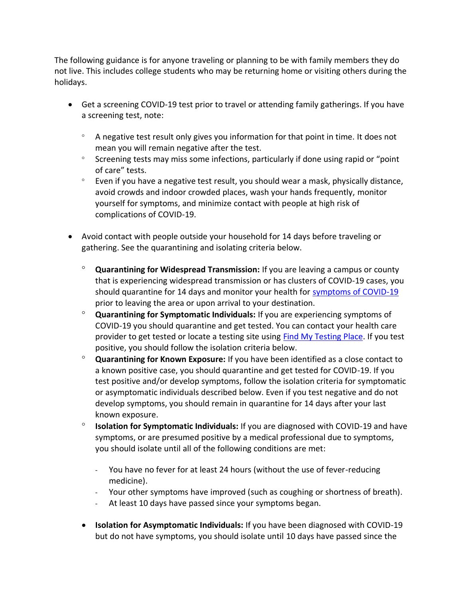The following guidance is for anyone traveling or planning to be with family members they do not live. This includes college students who may be returning home or visiting others during the holidays.

- Get a screening COVID-19 test prior to travel or attending family gatherings. If you have a screening test, note:
	- A negative test result only gives you information for that point in time. It does not mean you will remain negative after the test.
	- $\degree$  Screening tests may miss some infections, particularly if done using rapid or "point" of care" tests.
	- Even if you have a negative test result, you should wear a mask, physically distance, avoid crowds and indoor crowded places, wash your hands frequently, monitor yourself for symptoms, and minimize contact with people at high risk of complications of COVID-19.
- Avoid contact with people outside your household for 14 days before traveling or gathering. See the quarantining and isolating criteria below.
	- **Quarantining for Widespread Transmission:** If you are leaving a campus or county that is experiencing widespread transmission or has clusters of COVID-19 cases, you should quarantine for 14 days and monitor your health for [symptoms of COVID-19](https://www.cdc.gov/coronavirus/2019-ncov/symptoms-testing/symptoms.html) prior to leaving the area or upon arrival to your destination.
	- **Quarantining for Symptomatic Individuals:** If you are experiencing symptoms of COVID-19 you should quarantine and get tested. You can contact your health care provider to get tested or locate a testing site using [Find My Testing Place.](https://covid19.ncdhhs.gov/about-covid-19/testing/find-my-testing-place) If you test positive, you should follow the isolation criteria below.
	- **Quarantining for Known Exposure:** If you have been identified as a close contact to a known positive case, you should quarantine and get tested for COVID-19. If you test positive and/or develop symptoms, follow the isolation criteria for symptomatic or asymptomatic individuals described below. Even if you test negative and do not develop symptoms, you should remain in quarantine for 14 days after your last known exposure.
	- **Isolation for Symptomatic Individuals:** If you are diagnosed with COVID-19 and have symptoms, or are presumed positive by a medical professional due to symptoms, you should isolate until all of the following conditions are met:
		- You have no fever for at least 24 hours (without the use of fever-reducing medicine).
		- Your other symptoms have improved (such as coughing or shortness of breath).
		- At least 10 days have passed since your symptoms began.
	- **Isolation for Asymptomatic Individuals:** If you have been diagnosed with COVID-19 but do not have symptoms, you should isolate until 10 days have passed since the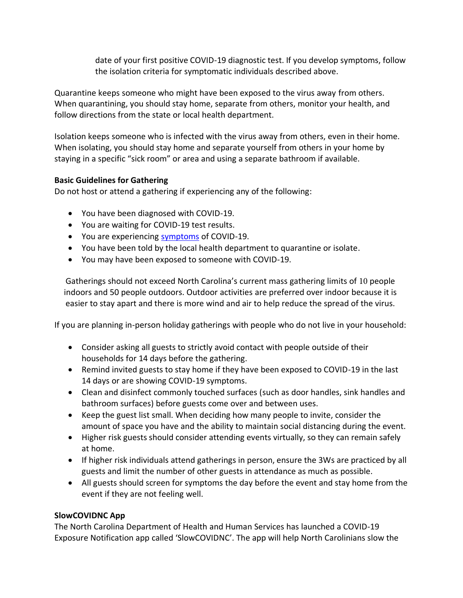date of your first positive COVID-19 diagnostic test. If you develop symptoms, follow the isolation criteria for symptomatic individuals described above.

Quarantine keeps someone who might have been exposed to the virus away from others. When quarantining, you should stay home, separate from others, monitor your health, and follow directions from the state or local health department.

Isolation keeps someone who is infected with the virus away from others, even in their home. When isolating, you should stay home and separate yourself from others in your home by staying in a specific "sick room" or area and using a separate bathroom if available.

# **Basic Guidelines for Gathering**

Do not host or attend a gathering if experiencing any of the following:

- You have been diagnosed with COVID-19.
- You are waiting for COVID-19 test results.
- You are experiencing [symptoms](https://www.cdc.gov/coronavirus/2019-ncov/symptoms-testing/symptoms.html) of COVID-19.
- You have been told by the local health department to quarantine or isolate.
- You may have been exposed to someone with COVID-19.

Gatherings should not exceed North Carolina's current mass gathering limits of 10 people indoors and 50 people outdoors. Outdoor activities are preferred over indoor because it is easier to stay apart and there is more wind and air to help reduce the spread of the virus.

If you are planning in-person holiday gatherings with people who do not live in your household:

- Consider asking all guests to strictly avoid contact with people outside of their households for 14 days before the gathering.
- Remind invited guests to stay home if they have been exposed to COVID-19 in the last 14 days or are showing COVID-19 symptoms.
- Clean and disinfect commonly touched surfaces (such as door handles, sink handles and bathroom surfaces) before guests come over and between uses.
- Keep the guest list small. When deciding how many people to invite, consider the amount of space you have and the ability to maintain social distancing during the event.
- Higher risk guests should consider attending events virtually, so they can remain safely at home.
- If higher risk individuals attend gatherings in person, ensure the 3Ws are practiced by all guests and limit the number of other guests in attendance as much as possible.
- All guests should screen for symptoms the day before the event and stay home from the event if they are not feeling well.

# **SlowCOVIDNC App**

The North Carolina Department of Health and Human Services has launched a COVID-19 Exposure Notification app called 'SlowCOVIDNC'. The app will help North Carolinians slow the